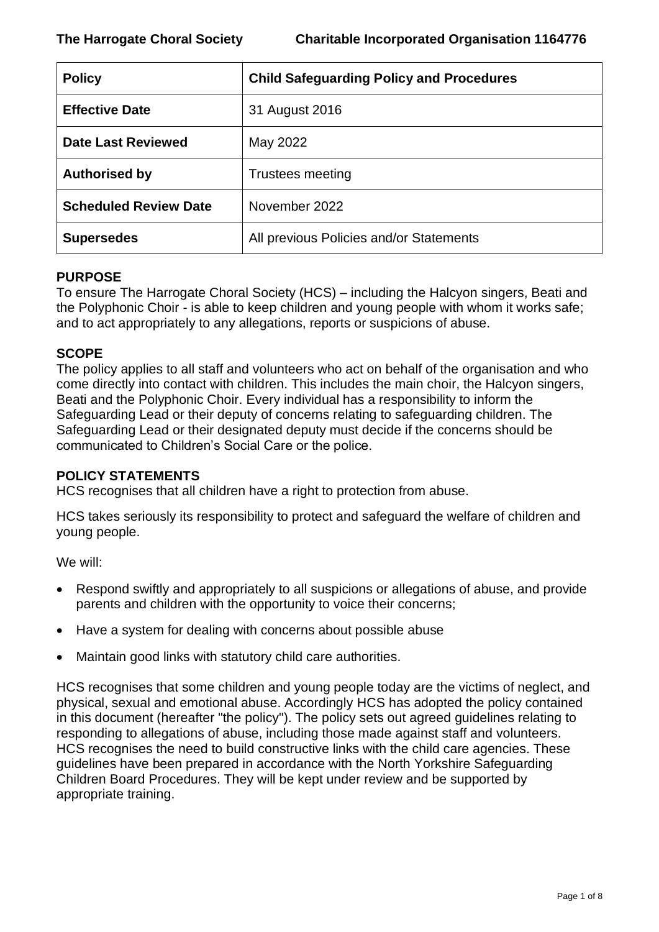| <b>Policy</b>                | <b>Child Safeguarding Policy and Procedures</b> |
|------------------------------|-------------------------------------------------|
| <b>Effective Date</b>        | 31 August 2016                                  |
| <b>Date Last Reviewed</b>    | May 2022                                        |
| <b>Authorised by</b>         | Trustees meeting                                |
| <b>Scheduled Review Date</b> | November 2022                                   |
| <b>Supersedes</b>            | All previous Policies and/or Statements         |

### **PURPOSE**

To ensure The Harrogate Choral Society (HCS) – including the Halcyon singers, Beati and the Polyphonic Choir - is able to keep children and young people with whom it works safe; and to act appropriately to any allegations, reports or suspicions of abuse.

# **SCOPE**

The policy applies to all staff and volunteers who act on behalf of the organisation and who come directly into contact with children. This includes the main choir, the Halcyon singers, Beati and the Polyphonic Choir. Every individual has a responsibility to inform the Safeguarding Lead or their deputy of concerns relating to safeguarding children. The Safeguarding Lead or their designated deputy must decide if the concerns should be communicated to Children's Social Care or the police.

# **POLICY STATEMENTS**

HCS recognises that all children have a right to protection from abuse.

HCS takes seriously its responsibility to protect and safeguard the welfare of children and young people.

We will:

- Respond swiftly and appropriately to all suspicions or allegations of abuse, and provide parents and children with the opportunity to voice their concerns;
- Have a system for dealing with concerns about possible abuse
- Maintain good links with statutory child care authorities.

HCS recognises that some children and young people today are the victims of neglect, and physical, sexual and emotional abuse. Accordingly HCS has adopted the policy contained in this document (hereafter "the policy"). The policy sets out agreed guidelines relating to responding to allegations of abuse, including those made against staff and volunteers. HCS recognises the need to build constructive links with the child care agencies. These guidelines have been prepared in accordance with the North Yorkshire Safeguarding Children Board Procedures. They will be kept under review and be supported by appropriate training.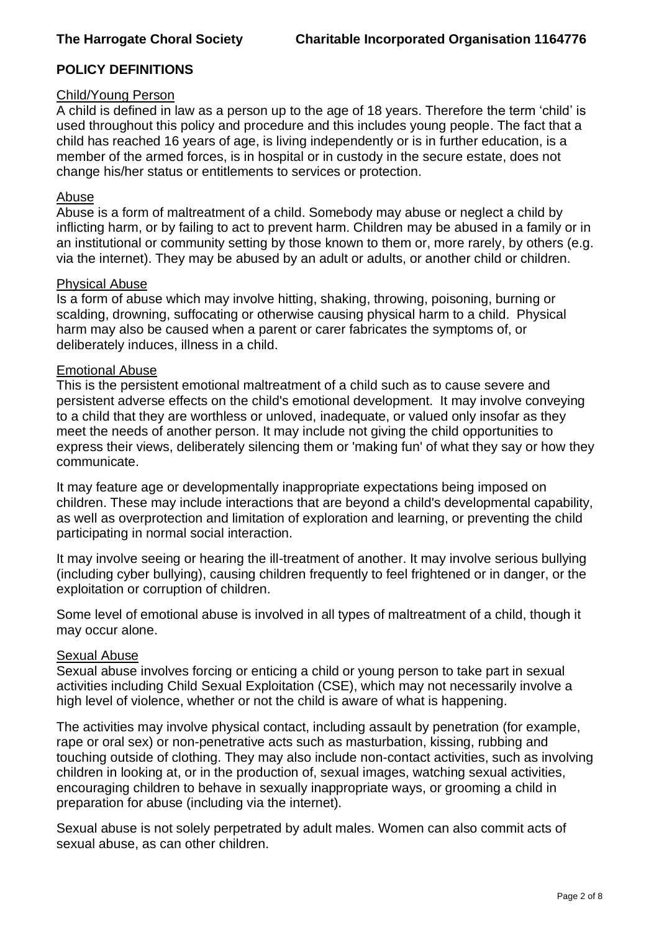# **POLICY DEFINITIONS**

## Child/Young Person

A child is defined in law as a person up to the age of 18 years. Therefore the term 'child' is used throughout this policy and procedure and this includes young people. The fact that a child has reached 16 years of age, is living independently or is in further education, is a member of the armed forces, is in hospital or in custody in the secure estate, does not change his/her status or entitlements to services or protection.

### Abuse

Abuse is a form of maltreatment of a child. Somebody may abuse or neglect a child by inflicting harm, or by failing to act to prevent harm. Children may be abused in a family or in an institutional or community setting by those known to them or, more rarely, by others (e.g. via the internet). They may be abused by an adult or adults, or another child or children.

#### Physical Abuse

Is a form of abuse which may involve hitting, shaking, throwing, poisoning, burning or scalding, drowning, suffocating or otherwise causing physical harm to a child. Physical harm may also be caused when a parent or carer fabricates the symptoms of, or deliberately induces, illness in a child.

#### Emotional Abuse

This is the persistent emotional maltreatment of a child such as to cause severe and persistent adverse effects on the child's emotional development. It may involve conveying to a child that they are worthless or unloved, inadequate, or valued only insofar as they meet the needs of another person. It may include not giving the child opportunities to express their views, deliberately silencing them or 'making fun' of what they say or how they communicate.

It may feature age or developmentally inappropriate expectations being imposed on children. These may include interactions that are beyond a child's developmental capability, as well as overprotection and limitation of exploration and learning, or preventing the child participating in normal social interaction.

It may involve seeing or hearing the ill-treatment of another. It may involve serious bullying (including cyber bullying), causing children frequently to feel frightened or in danger, or the exploitation or corruption of children.

Some level of emotional abuse is involved in all types of maltreatment of a child, though it may occur alone.

### Sexual Abuse

Sexual abuse involves forcing or enticing a child or young person to take part in sexual activities including Child Sexual Exploitation (CSE), which may not necessarily involve a high level of violence, whether or not the child is aware of what is happening.

The activities may involve physical contact, including assault by penetration (for example, rape or oral sex) or non-penetrative acts such as masturbation, kissing, rubbing and touching outside of clothing. They may also include non-contact activities, such as involving children in looking at, or in the production of, sexual images, watching sexual activities, encouraging children to behave in sexually inappropriate ways, or grooming a child in preparation for abuse (including via the internet).

Sexual abuse is not solely perpetrated by adult males. Women can also commit acts of sexual abuse, as can other children.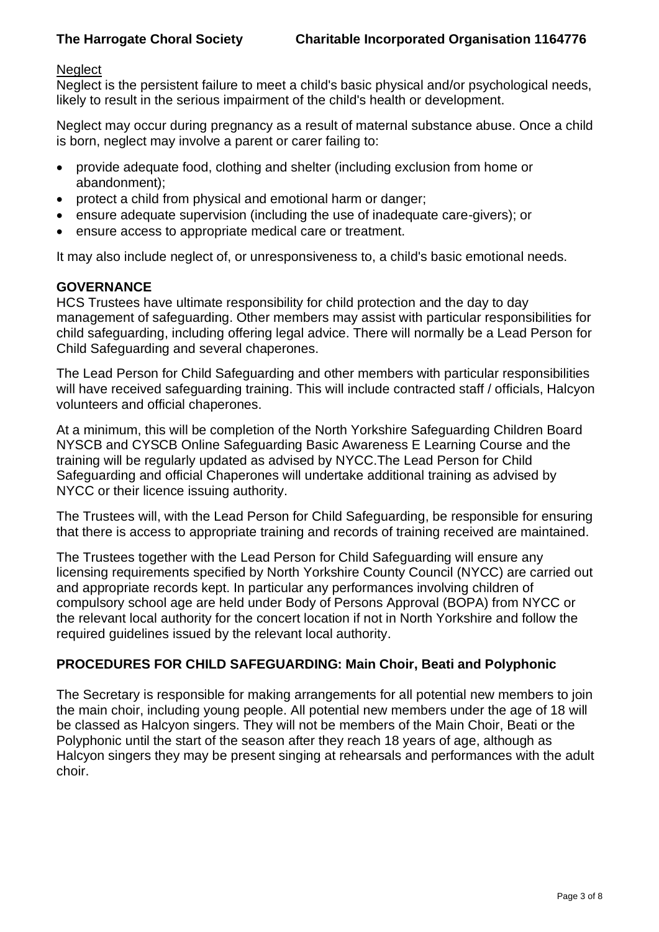### **Neglect**

Neglect is the persistent failure to meet a child's basic physical and/or psychological needs, likely to result in the serious impairment of the child's health or development.

Neglect may occur during pregnancy as a result of maternal substance abuse. Once a child is born, neglect may involve a parent or carer failing to:

- provide adequate food, clothing and shelter (including exclusion from home or abandonment);
- protect a child from physical and emotional harm or danger;
- ensure adequate supervision (including the use of inadequate care-givers); or
- ensure access to appropriate medical care or treatment.

It may also include neglect of, or unresponsiveness to, a child's basic emotional needs.

# **GOVERNANCE**

HCS Trustees have ultimate responsibility for child protection and the day to day management of safeguarding. Other members may assist with particular responsibilities for child safeguarding, including offering legal advice. There will normally be a Lead Person for Child Safeguarding and several chaperones.

The Lead Person for Child Safeguarding and other members with particular responsibilities will have received safeguarding training. This will include contracted staff / officials, Halcyon volunteers and official chaperones.

At a minimum, this will be completion of the North Yorkshire Safeguarding Children Board NYSCB and CYSCB Online Safeguarding Basic Awareness E Learning Course and the training will be regularly updated as advised by NYCC.The Lead Person for Child Safeguarding and official Chaperones will undertake additional training as advised by NYCC or their licence issuing authority.

The Trustees will, with the Lead Person for Child Safeguarding, be responsible for ensuring that there is access to appropriate training and records of training received are maintained.

The Trustees together with the Lead Person for Child Safeguarding will ensure any licensing requirements specified by North Yorkshire County Council (NYCC) are carried out and appropriate records kept. In particular any performances involving children of compulsory school age are held under Body of Persons Approval (BOPA) from NYCC or the relevant local authority for the concert location if not in North Yorkshire and follow the required guidelines issued by the relevant local authority.

### **PROCEDURES FOR CHILD SAFEGUARDING: Main Choir, Beati and Polyphonic**

The Secretary is responsible for making arrangements for all potential new members to join the main choir, including young people. All potential new members under the age of 18 will be classed as Halcyon singers. They will not be members of the Main Choir, Beati or the Polyphonic until the start of the season after they reach 18 years of age, although as Halcyon singers they may be present singing at rehearsals and performances with the adult choir.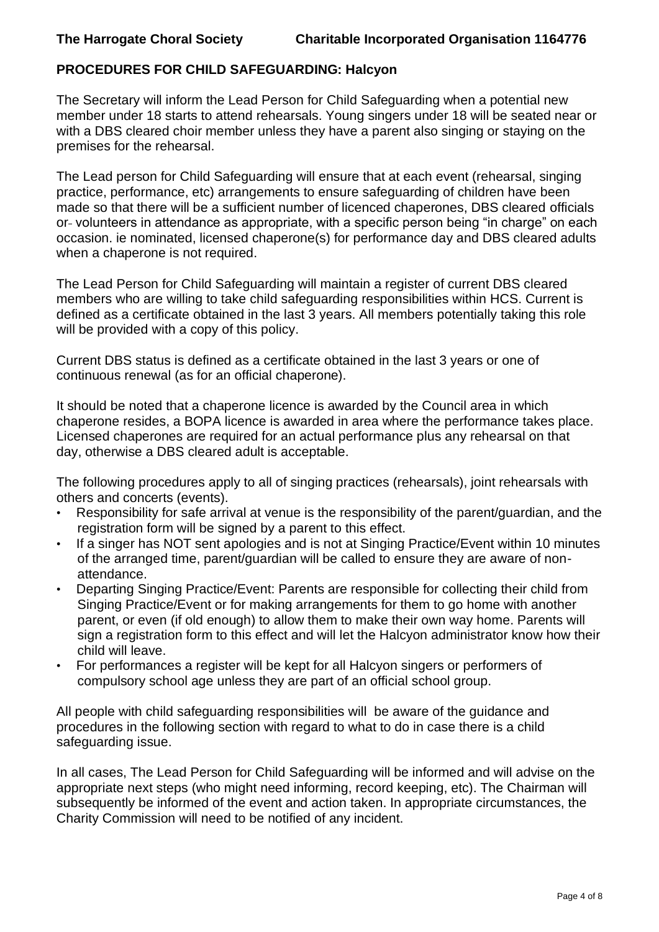# **PROCEDURES FOR CHILD SAFEGUARDING: Halcyon**

The Secretary will inform the Lead Person for Child Safeguarding when a potential new member under 18 starts to attend rehearsals. Young singers under 18 will be seated near or with a DBS cleared choir member unless they have a parent also singing or staying on the premises for the rehearsal.

The Lead person for Child Safeguarding will ensure that at each event (rehearsal, singing practice, performance, etc) arrangements to ensure safeguarding of children have been made so that there will be a sufficient number of licenced chaperones, DBS cleared officials or volunteers in attendance as appropriate, with a specific person being "in charge" on each occasion. ie nominated, licensed chaperone(s) for performance day and DBS cleared adults when a chaperone is not required.

The Lead Person for Child Safeguarding will maintain a register of current DBS cleared members who are willing to take child safeguarding responsibilities within HCS. Current is defined as a certificate obtained in the last 3 years. All members potentially taking this role will be provided with a copy of this policy.

Current DBS status is defined as a certificate obtained in the last 3 years or one of continuous renewal (as for an official chaperone).

It should be noted that a chaperone licence is awarded by the Council area in which chaperone resides, a BOPA licence is awarded in area where the performance takes place. Licensed chaperones are required for an actual performance plus any rehearsal on that day, otherwise a DBS cleared adult is acceptable.

The following procedures apply to all of singing practices (rehearsals), joint rehearsals with others and concerts (events).

- Responsibility for safe arrival at venue is the responsibility of the parent/guardian, and the registration form will be signed by a parent to this effect.
- If a singer has NOT sent apologies and is not at Singing Practice/Event within 10 minutes of the arranged time, parent/guardian will be called to ensure they are aware of nonattendance.
- Departing Singing Practice/Event: Parents are responsible for collecting their child from Singing Practice/Event or for making arrangements for them to go home with another parent, or even (if old enough) to allow them to make their own way home. Parents will sign a registration form to this effect and will let the Halcyon administrator know how their child will leave.
- For performances a register will be kept for all Halcyon singers or performers of compulsory school age unless they are part of an official school group.

All people with child safeguarding responsibilities will be aware of the guidance and procedures in the following section with regard to what to do in case there is a child safeguarding issue.

In all cases, The Lead Person for Child Safeguarding will be informed and will advise on the appropriate next steps (who might need informing, record keeping, etc). The Chairman will subsequently be informed of the event and action taken. In appropriate circumstances, the Charity Commission will need to be notified of any incident.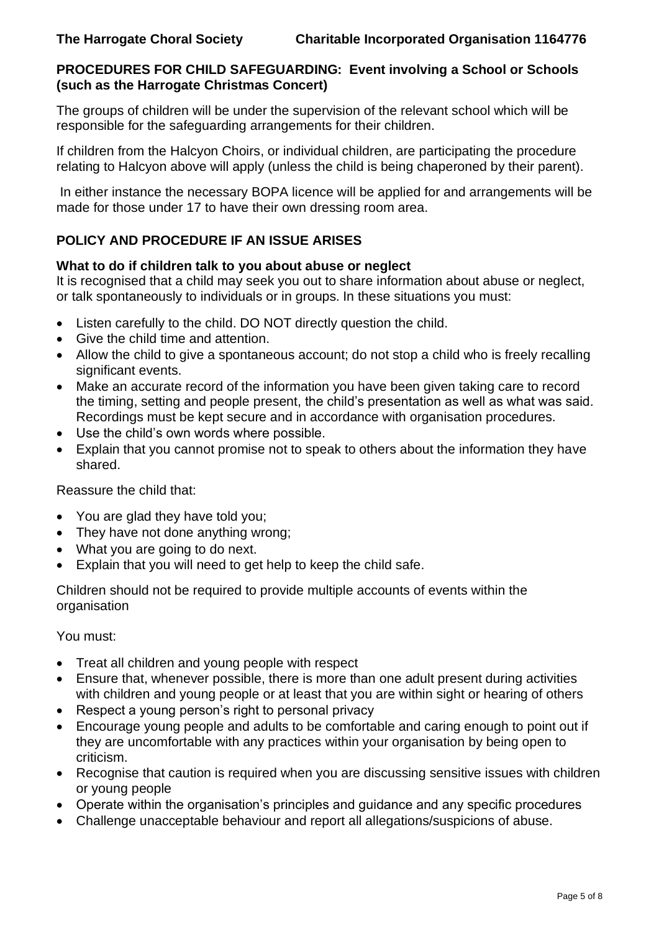## **PROCEDURES FOR CHILD SAFEGUARDING: Event involving a School or Schools (such as the Harrogate Christmas Concert)**

The groups of children will be under the supervision of the relevant school which will be responsible for the safeguarding arrangements for their children.

If children from the Halcyon Choirs, or individual children, are participating the procedure relating to Halcyon above will apply (unless the child is being chaperoned by their parent).

In either instance the necessary BOPA licence will be applied for and arrangements will be made for those under 17 to have their own dressing room area.

# **POLICY AND PROCEDURE IF AN ISSUE ARISES**

### **What to do if children talk to you about abuse or neglect**

It is recognised that a child may seek you out to share information about abuse or neglect, or talk spontaneously to individuals or in groups. In these situations you must:

- Listen carefully to the child. DO NOT directly question the child.
- Give the child time and attention.
- Allow the child to give a spontaneous account; do not stop a child who is freely recalling significant events.
- Make an accurate record of the information you have been given taking care to record the timing, setting and people present, the child's presentation as well as what was said. Recordings must be kept secure and in accordance with organisation procedures.
- Use the child's own words where possible.
- Explain that you cannot promise not to speak to others about the information they have shared.

Reassure the child that:

- You are glad they have told you;
- They have not done anything wrong:
- What you are going to do next.
- Explain that you will need to get help to keep the child safe.

Children should not be required to provide multiple accounts of events within the organisation

You must:

- Treat all children and young people with respect
- Ensure that, whenever possible, there is more than one adult present during activities with children and young people or at least that you are within sight or hearing of others
- Respect a young person's right to personal privacy
- Encourage young people and adults to be comfortable and caring enough to point out if they are uncomfortable with any practices within your organisation by being open to criticism.
- Recognise that caution is required when you are discussing sensitive issues with children or young people
- Operate within the organisation's principles and guidance and any specific procedures
- Challenge unacceptable behaviour and report all allegations/suspicions of abuse.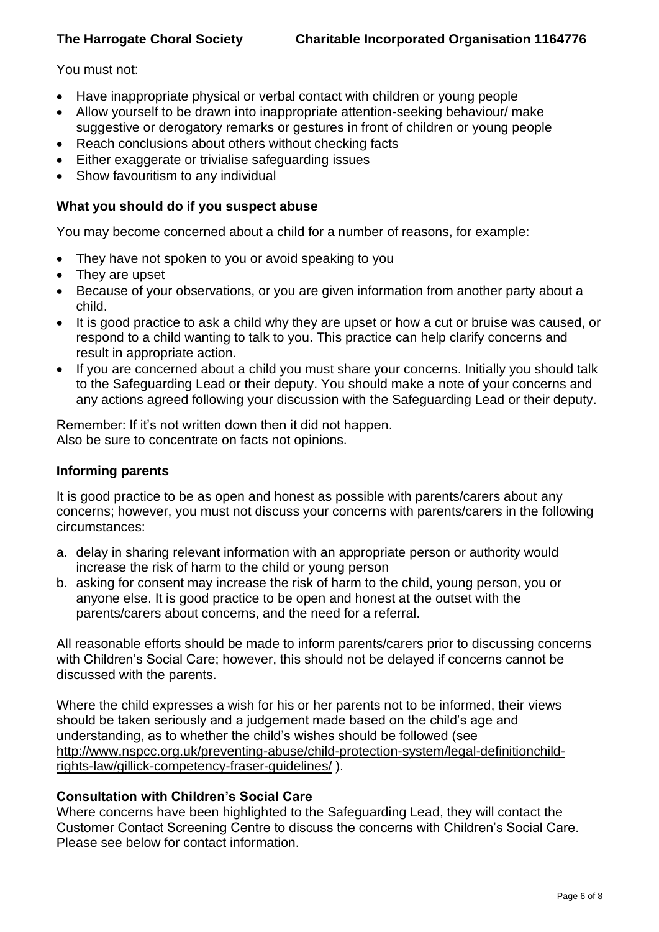### You must not:

- Have inappropriate physical or verbal contact with children or young people
- Allow yourself to be drawn into inappropriate attention-seeking behaviour/ make suggestive or derogatory remarks or gestures in front of children or young people
- Reach conclusions about others without checking facts
- Either exaggerate or trivialise safeguarding issues
- Show favouritism to any individual

### **What you should do if you suspect abuse**

You may become concerned about a child for a number of reasons, for example:

- They have not spoken to you or avoid speaking to you
- They are upset
- Because of your observations, or you are given information from another party about a child.
- It is good practice to ask a child why they are upset or how a cut or bruise was caused, or respond to a child wanting to talk to you. This practice can help clarify concerns and result in appropriate action.
- If you are concerned about a child you must share your concerns. Initially you should talk to the Safeguarding Lead or their deputy. You should make a note of your concerns and any actions agreed following your discussion with the Safeguarding Lead or their deputy.

Remember: If it's not written down then it did not happen. Also be sure to concentrate on facts not opinions.

## **Informing parents**

It is good practice to be as open and honest as possible with parents/carers about any concerns; however, you must not discuss your concerns with parents/carers in the following circumstances:

- a. delay in sharing relevant information with an appropriate person or authority would increase the risk of harm to the child or young person
- b. asking for consent may increase the risk of harm to the child, young person, you or anyone else. It is good practice to be open and honest at the outset with the parents/carers about concerns, and the need for a referral.

All reasonable efforts should be made to inform parents/carers prior to discussing concerns with Children's Social Care; however, this should not be delayed if concerns cannot be discussed with the parents.

Where the child expresses a wish for his or her parents not to be informed, their views should be taken seriously and a judgement made based on the child's age and understanding, as to whether the child's wishes should be followed (see [http://www.nspcc.org.uk/preventing-abuse/child-protection-system/legal-definitionchild](http://www.nspcc.org.uk/preventing-abuse/child-protection-system/legal-definitionchild-rights-law/gillick-competency-fraser-guidelines/)[rights-law/gillick-competency-fraser-guidelines/](http://www.nspcc.org.uk/preventing-abuse/child-protection-system/legal-definitionchild-rights-law/gillick-competency-fraser-guidelines/) ).

### **Consultation with Children's Social Care**

Where concerns have been highlighted to the Safeguarding Lead, they will contact the Customer Contact Screening Centre to discuss the concerns with Children's Social Care. Please see below for contact information.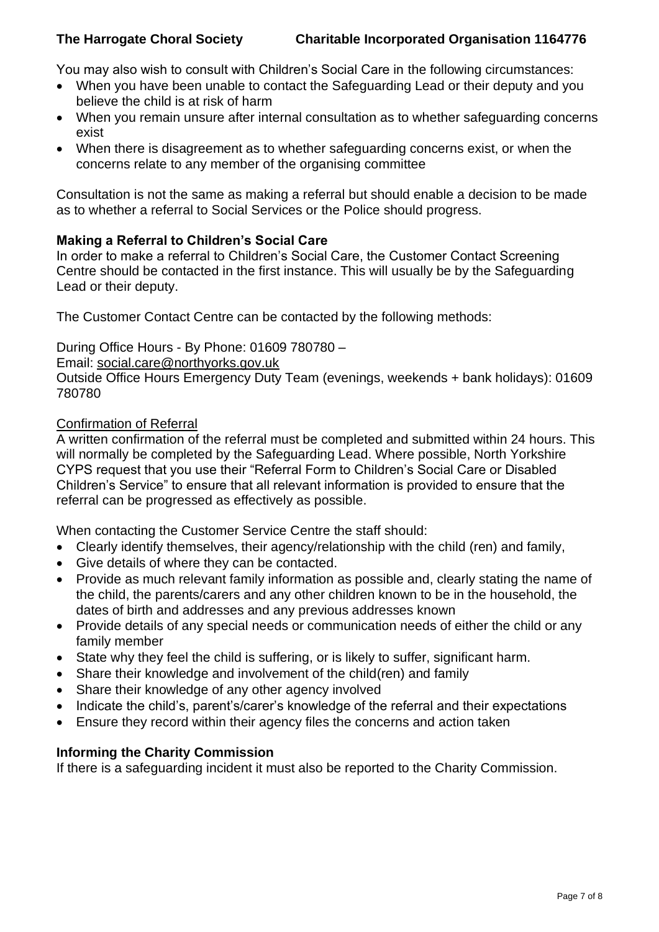You may also wish to consult with Children's Social Care in the following circumstances:

- When you have been unable to contact the Safeguarding Lead or their deputy and you believe the child is at risk of harm
- When you remain unsure after internal consultation as to whether safeguarding concerns exist
- When there is disagreement as to whether safeguarding concerns exist, or when the concerns relate to any member of the organising committee

Consultation is not the same as making a referral but should enable a decision to be made as to whether a referral to Social Services or the Police should progress.

### **Making a Referral to Children's Social Care**

In order to make a referral to Children's Social Care, the Customer Contact Screening Centre should be contacted in the first instance. This will usually be by the Safeguarding Lead or their deputy.

The Customer Contact Centre can be contacted by the following methods:

During Office Hours - By Phone: 01609 780780 –

Email: [social.care@northyorks.gov.uk](mailto:social.care@northyorks.gov.uk)

Outside Office Hours Emergency Duty Team (evenings, weekends + bank holidays): 01609 780780

### Confirmation of Referral

A written confirmation of the referral must be completed and submitted within 24 hours. This will normally be completed by the Safeguarding Lead. Where possible, North Yorkshire CYPS request that you use their "Referral Form to Children's Social Care or Disabled Children's Service" to ensure that all relevant information is provided to ensure that the referral can be progressed as effectively as possible.

When contacting the Customer Service Centre the staff should:

- Clearly identify themselves, their agency/relationship with the child (ren) and family,
- Give details of where they can be contacted.
- Provide as much relevant family information as possible and, clearly stating the name of the child, the parents/carers and any other children known to be in the household, the dates of birth and addresses and any previous addresses known
- Provide details of any special needs or communication needs of either the child or any family member
- State why they feel the child is suffering, or is likely to suffer, significant harm.
- Share their knowledge and involvement of the child(ren) and family
- Share their knowledge of any other agency involved
- Indicate the child's, parent's/carer's knowledge of the referral and their expectations
- Ensure they record within their agency files the concerns and action taken

### **Informing the Charity Commission**

If there is a safeguarding incident it must also be reported to the Charity Commission.